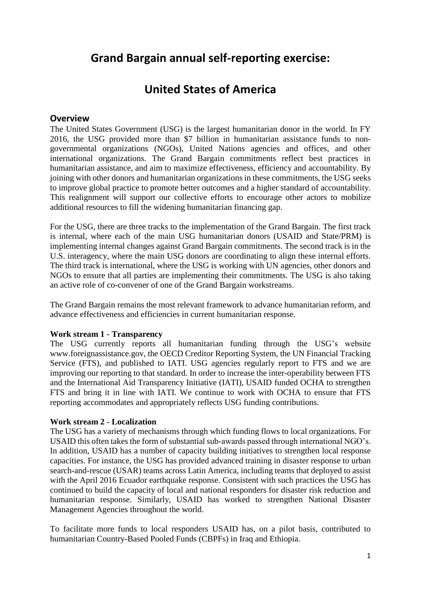# **Grand Bargain annual self-reporting exercise:**

# **United States of America**

## **Overview**

The United States Government (USG) is the largest humanitarian donor in the world. In FY 2016, the USG provided more than \$7 billion in humanitarian assistance funds to nongovernmental organizations (NGOs), United Nations agencies and offices, and other international organizations. The Grand Bargain commitments reflect best practices in humanitarian assistance, and aim to maximize effectiveness, efficiency and accountability. By joining with other donors and humanitarian organizations in these commitments, the USG seeks to improve global practice to promote better outcomes and a higher standard of accountability. This realignment will support our collective efforts to encourage other actors to mobilize additional resources to fill the widening humanitarian financing gap.

For the USG, there are three tracks to the implementation of the Grand Bargain. The first track is internal, where each of the main USG humanitarian donors (USAID and State/PRM) is implementing internal changes against Grand Bargain commitments. The second track is in the U.S. interagency, where the main USG donors are coordinating to align these internal efforts. The third track is international, where the USG is working with UN agencies, other donors and NGOs to ensure that all parties are implementing their commitments. The USG is also taking an active role of co-convener of one of the Grand Bargain workstreams.

The Grand Bargain remains the most relevant framework to advance humanitarian reform, and advance effectiveness and efficiencies in current humanitarian response.

#### **Work stream 1 - Transparency**

The USG currently reports all humanitarian funding through the USG's website www.foreignassistance.gov, the OECD Creditor Reporting System, the UN Financial Tracking Service (FTS), and published to IATI. USG agencies regularly report to FTS and we are improving our reporting to that standard. In order to increase the inter-operability between FTS and the International Aid Transparency Initiative (IATI), USAID funded OCHA to strengthen FTS and bring it in line with IATI. We continue to work with OCHA to ensure that FTS reporting accommodates and appropriately reflects USG funding contributions.

#### **Work stream 2 - Localization**

The USG has a variety of mechanisms through which funding flows to local organizations. For USAID this often takes the form of substantial sub-awards passed through international NGO's. In addition, USAID has a number of capacity building initiatives to strengthen local response capacities. For instance, the USG has provided advanced training in disaster response to urban search-and-rescue (USAR) teams across Latin America, including teams that deployed to assist with the April 2016 Ecuador earthquake response. Consistent with such practices the USG has continued to build the capacity of local and national responders for disaster risk reduction and humanitarian response. Similarly, USAID has worked to strengthen National Disaster Management Agencies throughout the world.

To facilitate more funds to local responders USAID has, on a pilot basis, contributed to humanitarian Country-Based Pooled Funds (CBPFs) in Iraq and Ethiopia.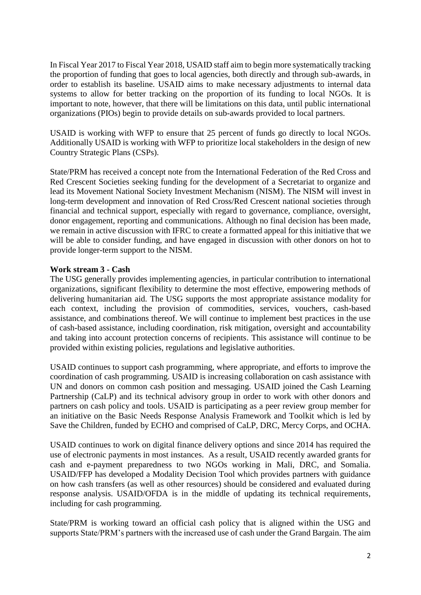In Fiscal Year 2017 to Fiscal Year 2018, USAID staff aim to begin more systematically tracking the proportion of funding that goes to local agencies, both directly and through sub-awards, in order to establish its baseline. USAID aims to make necessary adjustments to internal data systems to allow for better tracking on the proportion of its funding to local NGOs. It is important to note, however, that there will be limitations on this data, until public international organizations (PIOs) begin to provide details on sub-awards provided to local partners.

USAID is working with WFP to ensure that 25 percent of funds go directly to local NGOs. Additionally USAID is working with WFP to prioritize local stakeholders in the design of new Country Strategic Plans (CSPs).

State/PRM has received a concept note from the International Federation of the Red Cross and Red Crescent Societies seeking funding for the development of a Secretariat to organize and lead its Movement National Society Investment Mechanism (NISM). The NISM will invest in long-term development and innovation of Red Cross/Red Crescent national societies through financial and technical support, especially with regard to governance, compliance, oversight, donor engagement, reporting and communications. Although no final decision has been made, we remain in active discussion with IFRC to create a formatted appeal for this initiative that we will be able to consider funding, and have engaged in discussion with other donors on hot to provide longer-term support to the NISM.

## **Work stream 3 - Cash**

The USG generally provides implementing agencies, in particular contribution to international organizations, significant flexibility to determine the most effective, empowering methods of delivering humanitarian aid. The USG supports the most appropriate assistance modality for each context, including the provision of commodities, services, vouchers, cash-based assistance, and combinations thereof. We will continue to implement best practices in the use of cash-based assistance, including coordination, risk mitigation, oversight and accountability and taking into account protection concerns of recipients. This assistance will continue to be provided within existing policies, regulations and legislative authorities.

USAID continues to support cash programming, where appropriate, and efforts to improve the coordination of cash programming. USAID is increasing collaboration on cash assistance with UN and donors on common cash position and messaging. USAID joined the Cash Learning Partnership (CaLP) and its technical advisory group in order to work with other donors and partners on cash policy and tools. USAID is participating as a peer review group member for an initiative on the Basic Needs Response Analysis Framework and Toolkit which is led by Save the Children, funded by ECHO and comprised of CaLP, DRC, Mercy Corps, and OCHA.

USAID continues to work on digital finance delivery options and since 2014 has required the use of electronic payments in most instances. As a result, USAID recently awarded grants for cash and e-payment preparedness to two NGOs working in Mali, DRC, and Somalia. USAID/FFP has developed a Modality Decision Tool which provides partners with guidance on how cash transfers (as well as other resources) should be considered and evaluated during response analysis. USAID/OFDA is in the middle of updating its technical requirements, including for cash programming.

State/PRM is working toward an official cash policy that is aligned within the USG and supports State/PRM's partners with the increased use of cash under the Grand Bargain. The aim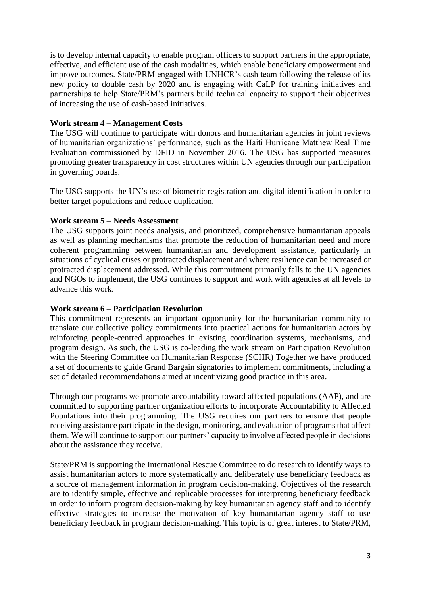is to develop internal capacity to enable program officers to support partners in the appropriate, effective, and efficient use of the cash modalities, which enable beneficiary empowerment and improve outcomes. State/PRM engaged with UNHCR's cash team following the release of its new policy to double cash by 2020 and is engaging with CaLP for training initiatives and partnerships to help State/PRM's partners build technical capacity to support their objectives of increasing the use of cash-based initiatives.

## **Work stream 4 – Management Costs**

The USG will continue to participate with donors and humanitarian agencies in joint reviews of humanitarian organizations' performance, such as the Haiti Hurricane Matthew Real Time Evaluation commissioned by DFID in November 2016. The USG has supported measures promoting greater transparency in cost structures within UN agencies through our participation in governing boards.

The USG supports the UN's use of biometric registration and digital identification in order to better target populations and reduce duplication.

## **Work stream 5 – Needs Assessment**

The USG supports joint needs analysis, and prioritized, comprehensive humanitarian appeals as well as planning mechanisms that promote the reduction of humanitarian need and more coherent programming between humanitarian and development assistance, particularly in situations of cyclical crises or protracted displacement and where resilience can be increased or protracted displacement addressed. While this commitment primarily falls to the UN agencies and NGOs to implement, the USG continues to support and work with agencies at all levels to advance this work.

## **Work stream 6 – Participation Revolution**

This commitment represents an important opportunity for the humanitarian community to translate our collective policy commitments into practical actions for humanitarian actors by reinforcing people-centred approaches in existing coordination systems, mechanisms, and program design. As such, the USG is co-leading the work stream on Participation Revolution with the Steering Committee on Humanitarian Response (SCHR) Together we have produced a set of documents to guide Grand Bargain signatories to implement commitments, including a set of detailed recommendations aimed at incentivizing good practice in this area.

Through our programs we promote accountability toward affected populations (AAP), and are committed to supporting partner organization efforts to incorporate Accountability to Affected Populations into their programming. The USG requires our partners to ensure that people receiving assistance participate in the design, monitoring, and evaluation of programs that affect them. We will continue to support our partners' capacity to involve affected people in decisions about the assistance they receive.

State/PRM is supporting the International Rescue Committee to do research to identify ways to assist humanitarian actors to more systematically and deliberately use beneficiary feedback as a source of management information in program decision-making. Objectives of the research are to identify simple, effective and replicable processes for interpreting beneficiary feedback in order to inform program decision-making by key humanitarian agency staff and to identify effective strategies to increase the motivation of key humanitarian agency staff to use beneficiary feedback in program decision-making. This topic is of great interest to State/PRM,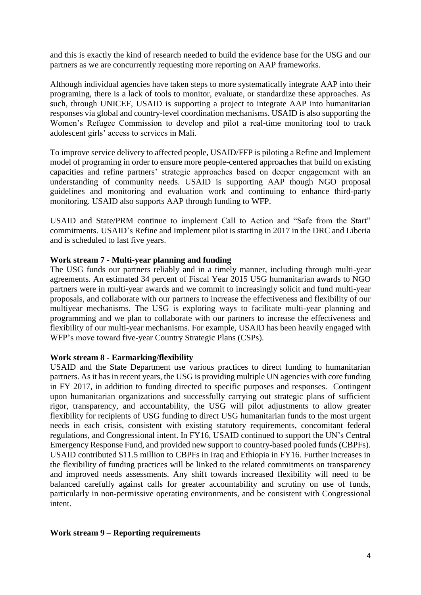and this is exactly the kind of research needed to build the evidence base for the USG and our partners as we are concurrently requesting more reporting on AAP frameworks.

Although individual agencies have taken steps to more systematically integrate AAP into their programing, there is a lack of tools to monitor, evaluate, or standardize these approaches. As such, through UNICEF, USAID is supporting a project to integrate AAP into humanitarian responses via global and country-level coordination mechanisms. USAID is also supporting the Women's Refugee Commission to develop and pilot a real-time monitoring tool to track adolescent girls' access to services in Mali.

To improve service delivery to affected people, USAID/FFP is piloting a Refine and Implement model of programing in order to ensure more people-centered approaches that build on existing capacities and refine partners' strategic approaches based on deeper engagement with an understanding of community needs. USAID is supporting AAP though NGO proposal guidelines and monitoring and evaluation work and continuing to enhance third-party monitoring. USAID also supports AAP through funding to WFP.

USAID and State/PRM continue to implement Call to Action and "Safe from the Start" commitments. USAID's Refine and Implement pilot is starting in 2017 in the DRC and Liberia and is scheduled to last five years.

## **Work stream 7 - Multi-year planning and funding**

The USG funds our partners reliably and in a timely manner, including through multi-year agreements. An estimated 34 percent of Fiscal Year 2015 USG humanitarian awards to NGO partners were in multi-year awards and we commit to increasingly solicit and fund multi-year proposals, and collaborate with our partners to increase the effectiveness and flexibility of our multiyear mechanisms. The USG is exploring ways to facilitate multi-year planning and programming and we plan to collaborate with our partners to increase the effectiveness and flexibility of our multi-year mechanisms. For example, USAID has been heavily engaged with WFP's move toward five-year Country Strategic Plans (CSPs).

#### **Work stream 8 - Earmarking/flexibility**

USAID and the State Department use various practices to direct funding to humanitarian partners. As it has in recent years, the USG is providing multiple UN agencies with core funding in FY 2017, in addition to funding directed to specific purposes and responses. Contingent upon humanitarian organizations and successfully carrying out strategic plans of sufficient rigor, transparency, and accountability, the USG will pilot adjustments to allow greater flexibility for recipients of USG funding to direct USG humanitarian funds to the most urgent needs in each crisis, consistent with existing statutory requirements, concomitant federal regulations, and Congressional intent. In FY16, USAID continued to support the UN's Central Emergency Response Fund, and provided new support to country-based pooled funds (CBPFs). USAID contributed \$11.5 million to CBPFs in Iraq and Ethiopia in FY16. Further increases in the flexibility of funding practices will be linked to the related commitments on transparency and improved needs assessments. Any shift towards increased flexibility will need to be balanced carefully against calls for greater accountability and scrutiny on use of funds, particularly in non-permissive operating environments, and be consistent with Congressional intent.

#### **Work stream 9 – Reporting requirements**